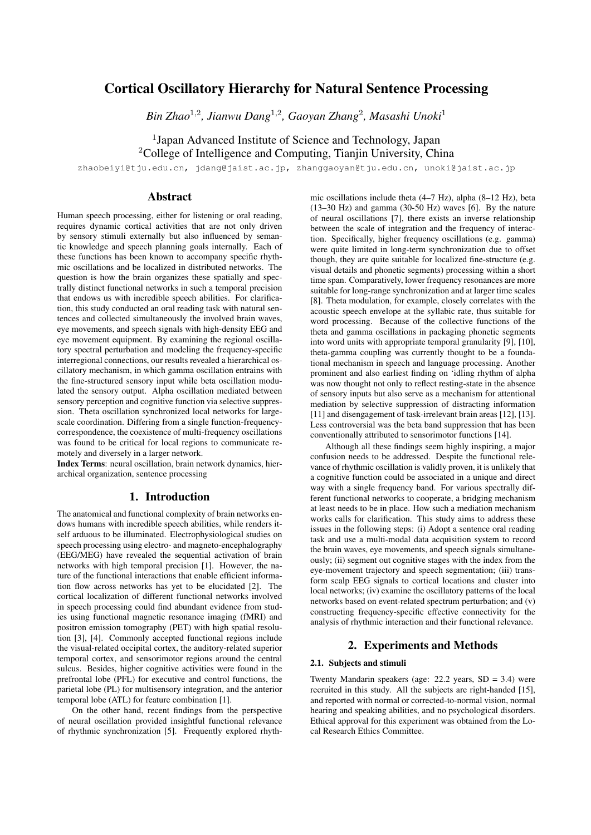# Cortical Oscillatory Hierarchy for Natural Sentence Processing

*Bin Zhao*<sup>1</sup>,<sup>2</sup> *, Jianwu Dang*<sup>1</sup>,<sup>2</sup> *, Gaoyan Zhang*<sup>2</sup> *, Masashi Unoki*<sup>1</sup>

<sup>1</sup>Japan Advanced Institute of Science and Technology, Japan

<sup>2</sup>College of Intelligence and Computing, Tianjin University, China

zhaobeiyi@tju.edu.cn, jdang@jaist.ac.jp, zhanggaoyan@tju.edu.cn, unoki@jaist.ac.jp

## Abstract

Human speech processing, either for listening or oral reading, requires dynamic cortical activities that are not only driven by sensory stimuli externally but also influenced by semantic knowledge and speech planning goals internally. Each of these functions has been known to accompany specific rhythmic oscillations and be localized in distributed networks. The question is how the brain organizes these spatially and spectrally distinct functional networks in such a temporal precision that endows us with incredible speech abilities. For clarification, this study conducted an oral reading task with natural sentences and collected simultaneously the involved brain waves, eye movements, and speech signals with high-density EEG and eye movement equipment. By examining the regional oscillatory spectral perturbation and modeling the frequency-specific interregional connections, our results revealed a hierarchical oscillatory mechanism, in which gamma oscillation entrains with the fine-structured sensory input while beta oscillation modulated the sensory output. Alpha oscillation mediated between sensory perception and cognitive function via selective suppression. Theta oscillation synchronized local networks for largescale coordination. Differing from a single function-frequencycorrespondence, the coexistence of multi-frequency oscillations was found to be critical for local regions to communicate remotely and diversely in a larger network.

Index Terms: neural oscillation, brain network dynamics, hierarchical organization, sentence processing

## 1. Introduction

The anatomical and functional complexity of brain networks endows humans with incredible speech abilities, while renders itself arduous to be illuminated. Electrophysiological studies on speech processing using electro- and magneto-encephalography (EEG/MEG) have revealed the sequential activation of brain networks with high temporal precision [1]. However, the nature of the functional interactions that enable efficient information flow across networks has yet to be elucidated [2]. The cortical localization of different functional networks involved in speech processing could find abundant evidence from studies using functional magnetic resonance imaging (fMRI) and positron emission tomography (PET) with high spatial resolution [3], [4]. Commonly accepted functional regions include the visual-related occipital cortex, the auditory-related superior temporal cortex, and sensorimotor regions around the central sulcus. Besides, higher cognitive activities were found in the prefrontal lobe (PFL) for executive and control functions, the parietal lobe (PL) for multisensory integration, and the anterior temporal lobe (ATL) for feature combination [1].

On the other hand, recent findings from the perspective of neural oscillation provided insightful functional relevance of rhythmic synchronization [5]. Frequently explored rhythmic oscillations include theta (4–7 Hz), alpha (8–12 Hz), beta (13–30 Hz) and gamma (30-50 Hz) waves [6]. By the nature of neural oscillations [7], there exists an inverse relationship between the scale of integration and the frequency of interaction. Specifically, higher frequency oscillations (e.g. gamma) were quite limited in long-term synchronization due to offset though, they are quite suitable for localized fine-structure (e.g. visual details and phonetic segments) processing within a short time span. Comparatively, lower frequency resonances are more suitable for long-range synchronization and at larger time scales [8]. Theta modulation, for example, closely correlates with the acoustic speech envelope at the syllabic rate, thus suitable for word processing. Because of the collective functions of the theta and gamma oscillations in packaging phonetic segments into word units with appropriate temporal granularity [9], [10], theta-gamma coupling was currently thought to be a foundational mechanism in speech and language processing. Another prominent and also earliest finding on 'idling rhythm of alpha was now thought not only to reflect resting-state in the absence of sensory inputs but also serve as a mechanism for attentional mediation by selective suppression of distracting information [11] and disengagement of task-irrelevant brain areas [12], [13]. Less controversial was the beta band suppression that has been conventionally attributed to sensorimotor functions [14].

Although all these findings seem highly inspiring, a major confusion needs to be addressed. Despite the functional relevance of rhythmic oscillation is validly proven, it is unlikely that a cognitive function could be associated in a unique and direct way with a single frequency band. For various spectrally different functional networks to cooperate, a bridging mechanism at least needs to be in place. How such a mediation mechanism works calls for clarification. This study aims to address these issues in the following steps: (i) Adopt a sentence oral reading task and use a multi-modal data acquisition system to record the brain waves, eye movements, and speech signals simultaneously; (ii) segment out cognitive stages with the index from the eye-movement trajectory and speech segmentation; (iii) transform scalp EEG signals to cortical locations and cluster into local networks; (iv) examine the oscillatory patterns of the local networks based on event-related spectrum perturbation; and (v) constructing frequency-specific effective connectivity for the analysis of rhythmic interaction and their functional relevance.

## 2. Experiments and Methods

### 2.1. Subjects and stimuli

Twenty Mandarin speakers (age: 22.2 years,  $SD = 3.4$ ) were recruited in this study. All the subjects are right-handed [15], and reported with normal or corrected-to-normal vision, normal hearing and speaking abilities, and no psychological disorders. Ethical approval for this experiment was obtained from the Local Research Ethics Committee.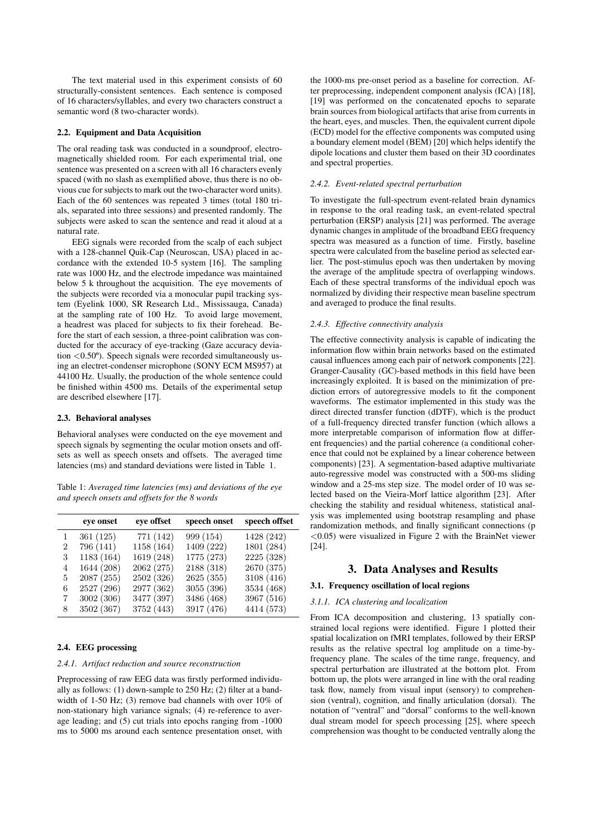The text material used in this experiment consists of 60 structurally-consistent sentences. Each sentence is composed of 16 characters/syllables, and every two characters construct a semantic word (8 two-character words).

#### 2.2. Equipment and Data Acquisition

The oral reading task was conducted in a soundproof, electromagnetically shielded room. For each experimental trial, one sentence was presented on a screen with all 16 characters evenly spaced (with no slash as exemplified above, thus there is no obvious cue for subjects to mark out the two-character word units). Each of the 60 sentences was repeated 3 times (total 180 trials, separated into three sessions) and presented randomly. The subjects were asked to scan the sentence and read it aloud at a natural rate.

EEG signals were recorded from the scalp of each subject with a 128-channel Quik-Cap (Neuroscan, USA) placed in accordance with the extended 10-5 system [16]. The sampling rate was 1000 Hz, and the electrode impedance was maintained below 5 k throughout the acquisition. The eye movements of the subjects were recorded via a monocular pupil tracking system (Eyelink 1000, SR Research Ltd., Mississauga, Canada) at the sampling rate of 100 Hz. To avoid large movement, a headrest was placed for subjects to fix their forehead. Before the start of each session, a three-point calibration was conducted for the accuracy of eye-tracking (Gaze accuracy deviation <0.50º). Speech signals were recorded simultaneously using an electret-condenser microphone (SONY ECM MS957) at 44100 Hz. Usually, the production of the whole sentence could be finished within 4500 ms. Details of the experimental setup are described elsewhere [17].

### 2.3. Behavioral analyses

Behavioral analyses were conducted on the eye movement and speech signals by segmenting the ocular motion onsets and offsets as well as speech onsets and offsets. The averaged time latencies (ms) and standard deviations were listed in Table 1.

Table 1: *Averaged time latencies (ms) and deviations of the eye and speech onsets and offsets for the 8 words*

|   | eye onset  | eye offset | speech onset | speech offset |
|---|------------|------------|--------------|---------------|
| 1 | 361(125)   | 771 (142)  | 999 (154)    | 1428 (242)    |
| 2 | 796 (141)  | 1158 (164) | 1409 (222)   | 1801 (284)    |
| 3 | 1183 (164) | 1619 (248) | 1775 (273)   | 2225 (328)    |
| 4 | 1644 (208) | 2062 (275) | 2188 (318)   | 2670 (375)    |
| 5 | 2087 (255) | 2502 (326) | 2625(355)    | 3108 (416)    |
| 6 | 2527 (296) | 2977 (362) | 3055 (396)   | 3534 (468)    |
| 7 | 3002 (306) | 3477 (397) | 3486 (468)   | 3967 (516)    |
| 8 | 3502 (367) | 3752 (443) | 3917 (476)   | 4414 (573)    |

#### 2.4. EEG processing

#### *2.4.1. Artifact reduction and source reconstruction*

Preprocessing of raw EEG data was firstly performed individually as follows: (1) down-sample to 250 Hz; (2) filter at a bandwidth of 1-50 Hz; (3) remove bad channels with over 10% of non-stationary high variance signals; (4) re-reference to average leading; and (5) cut trials into epochs ranging from -1000 ms to 5000 ms around each sentence presentation onset, with

the 1000-ms pre-onset period as a baseline for correction. After preprocessing, independent component analysis (ICA) [18], [19] was performed on the concatenated epochs to separate brain sources from biological artifacts that arise from currents in the heart, eyes, and muscles. Then, the equivalent current dipole (ECD) model for the effective components was computed using a boundary element model (BEM) [20] which helps identify the dipole locations and cluster them based on their 3D coordinates and spectral properties.

#### *2.4.2. Event-related spectral perturbation*

To investigate the full-spectrum event-related brain dynamics in response to the oral reading task, an event-related spectral perturbation (ERSP) analysis [21] was performed. The average dynamic changes in amplitude of the broadband EEG frequency spectra was measured as a function of time. Firstly, baseline spectra were calculated from the baseline period as selected earlier. The post-stimulus epoch was then undertaken by moving the average of the amplitude spectra of overlapping windows. Each of these spectral transforms of the individual epoch was normalized by dividing their respective mean baseline spectrum and averaged to produce the final results.

#### *2.4.3. Effective connectivity analysis*

The effective connectivity analysis is capable of indicating the information flow within brain networks based on the estimated causal influences among each pair of network components [22]. Granger-Causality (GC)-based methods in this field have been increasingly exploited. It is based on the minimization of prediction errors of autoregressive models to fit the component waveforms. The estimator implemented in this study was the direct directed transfer function (dDTF), which is the product of a full-frequency directed transfer function (which allows a more interpretable comparison of information flow at different frequencies) and the partial coherence (a conditional coherence that could not be explained by a linear coherence between components) [23]. A segmentation-based adaptive multivariate auto-regressive model was constructed with a 500-ms sliding window and a 25-ms step size. The model order of 10 was selected based on the Vieira-Morf lattice algorithm [23]. After checking the stability and residual whiteness, statistical analysis was implemented using bootstrap resampling and phase randomization methods, and finally significant connections (p <0.05) were visualized in Figure 2 with the BrainNet viewer [24].

### 3. Data Analyses and Results

### 3.1. Frequency oscillation of local regions

## *3.1.1. ICA clustering and localization*

From ICA decomposition and clustering, 13 spatially constrained local regions were identified. Figure 1 plotted their spatial localization on fMRI templates, followed by their ERSP results as the relative spectral log amplitude on a time-byfrequency plane. The scales of the time range, frequency, and spectral perturbation are illustrated at the bottom plot. From bottom up, the plots were arranged in line with the oral reading task flow, namely from visual input (sensory) to comprehension (ventral), cognition, and finally articulation (dorsal). The notation of "ventral" and "dorsal" conforms to the well-known dual stream model for speech processing [25], where speech comprehension was thought to be conducted ventrally along the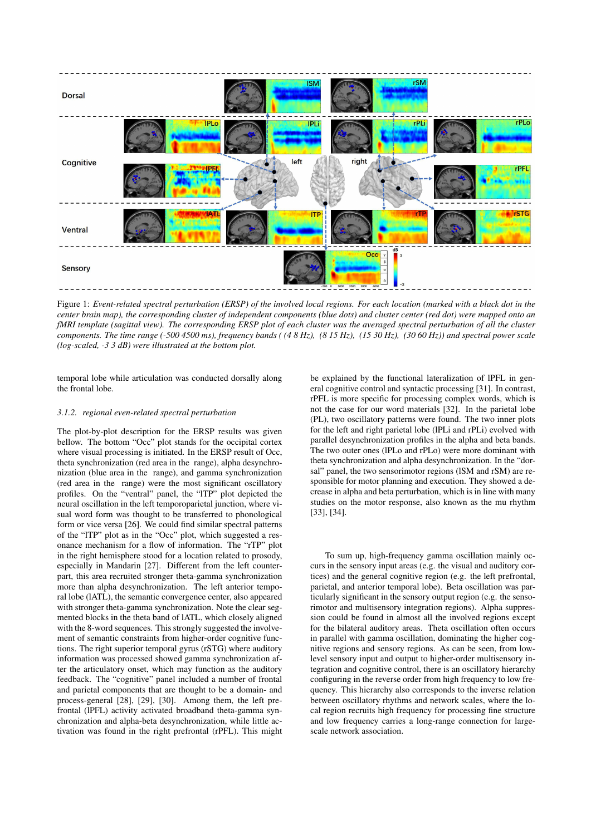

Figure 1: *Event-related spectral perturbation (ERSP) of the involved local regions. For each location (marked with a black dot in the center brain map), the corresponding cluster of independent components (blue dots) and cluster center (red dot) were mapped onto an fMRI template (sagittal view). The corresponding ERSP plot of each cluster was the averaged spectral perturbation of all the cluster components. The time range (-500 4500 ms), frequency bands ( (4 8 Hz), (8 15 Hz), (15 30 Hz), (30 60 Hz)) and spectral power scale (log-scaled, -3 3 dB) were illustrated at the bottom plot.*

temporal lobe while articulation was conducted dorsally along the frontal lobe.

#### *3.1.2. regional even-related spectral perturbation*

The plot-by-plot description for the ERSP results was given bellow. The bottom "Occ" plot stands for the occipital cortex where visual processing is initiated. In the ERSP result of Occ, theta synchronization (red area in the range), alpha desynchronization (blue area in the range), and gamma synchronization (red area in the range) were the most significant oscillatory profiles. On the "ventral" panel, the "lTP" plot depicted the neural oscillation in the left temporoparietal junction, where visual word form was thought to be transferred to phonological form or vice versa [26]. We could find similar spectral patterns of the "lTP" plot as in the "Occ" plot, which suggested a resonance mechanism for a flow of information. The "rTP" plot in the right hemisphere stood for a location related to prosody, especially in Mandarin [27]. Different from the left counterpart, this area recruited stronger theta-gamma synchronization more than alpha desynchronization. The left anterior temporal lobe (lATL), the semantic convergence center, also appeared with stronger theta-gamma synchronization. Note the clear segmented blocks in the theta band of lATL, which closely aligned with the 8-word sequences. This strongly suggested the involvement of semantic constraints from higher-order cognitive functions. The right superior temporal gyrus (rSTG) where auditory information was processed showed gamma synchronization after the articulatory onset, which may function as the auditory feedback. The "cognitive" panel included a number of frontal and parietal components that are thought to be a domain- and process-general [28], [29], [30]. Among them, the left prefrontal (lPFL) activity activated broadband theta-gamma synchronization and alpha-beta desynchronization, while little activation was found in the right prefrontal (rPFL). This might be explained by the functional lateralization of lPFL in general cognitive control and syntactic processing [31]. In contrast, rPFL is more specific for processing complex words, which is not the case for our word materials [32]. In the parietal lobe (PL), two oscillatory patterns were found. The two inner plots for the left and right parietal lobe (lPLi and rPLi) evolved with parallel desynchronization profiles in the alpha and beta bands. The two outer ones (lPLo and rPLo) were more dominant with theta synchronization and alpha desynchronization. In the "dorsal" panel, the two sensorimotor regions (ISM and rSM) are responsible for motor planning and execution. They showed a decrease in alpha and beta perturbation, which is in line with many studies on the motor response, also known as the mu rhythm [33], [34].

To sum up, high-frequency gamma oscillation mainly occurs in the sensory input areas (e.g. the visual and auditory cortices) and the general cognitive region (e.g. the left prefrontal, parietal, and anterior temporal lobe). Beta oscillation was particularly significant in the sensory output region (e.g. the sensorimotor and multisensory integration regions). Alpha suppression could be found in almost all the involved regions except for the bilateral auditory areas. Theta oscillation often occurs in parallel with gamma oscillation, dominating the higher cognitive regions and sensory regions. As can be seen, from lowlevel sensory input and output to higher-order multisensory integration and cognitive control, there is an oscillatory hierarchy configuring in the reverse order from high frequency to low frequency. This hierarchy also corresponds to the inverse relation between oscillatory rhythms and network scales, where the local region recruits high frequency for processing fine structure and low frequency carries a long-range connection for largescale network association.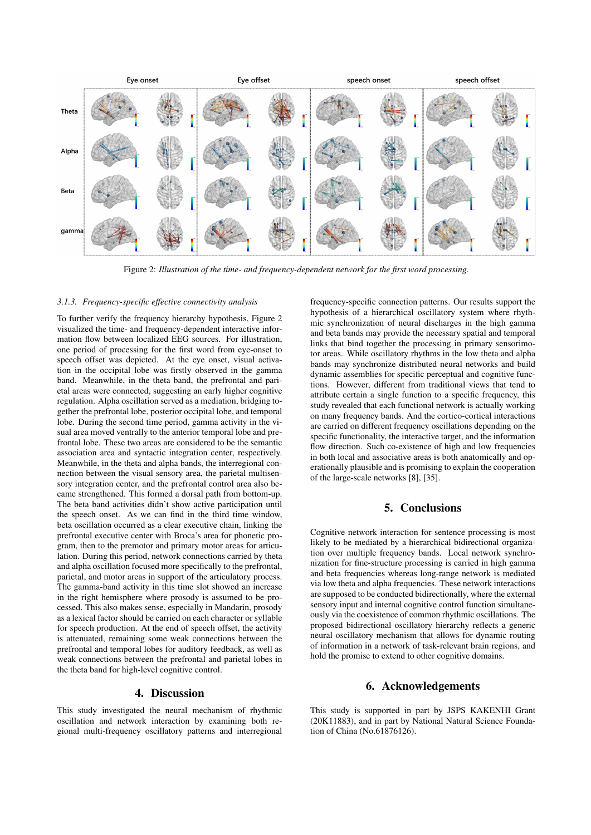

Figure 2: *Illustration of the time- and frequency-dependent network for the first word processing.*

#### *3.1.3. Frequency-specific effective connectivity analysis*

To further verify the frequency hierarchy hypothesis, Figure 2 visualized the time- and frequency-dependent interactive information flow between localized EEG sources. For illustration, one period of processing for the first word from eye-onset to speech offset was depicted. At the eye onset, visual activation in the occipital lobe was firstly observed in the gamma band. Meanwhile, in the theta band, the prefrontal and parietal areas were connected, suggesting an early higher cognitive regulation. Alpha oscillation served as a mediation, bridging together the prefrontal lobe, posterior occipital lobe, and temporal lobe. During the second time period, gamma activity in the visual area moved ventrally to the anterior temporal lobe and prefrontal lobe. These two areas are considered to be the semantic association area and syntactic integration center, respectively. Meanwhile, in the theta and alpha bands, the interregional connection between the visual sensory area, the parietal multisensory integration center, and the prefrontal control area also became strengthened. This formed a dorsal path from bottom-up. The beta band activities didn't show active participation until the speech onset. As we can find in the third time window, beta oscillation occurred as a clear executive chain, linking the prefrontal executive center with Broca's area for phonetic program, then to the premotor and primary motor areas for articulation. During this period, network connections carried by theta and alpha oscillation focused more specifically to the prefrontal, parietal, and motor areas in support of the articulatory process. The gamma-band activity in this time slot showed an increase in the right hemisphere where prosody is assumed to be processed. This also makes sense, especially in Mandarin, prosody as a lexical factor should be carried on each character or syllable for speech production. At the end of speech offset, the activity is attenuated, remaining some weak connections between the prefrontal and temporal lobes for auditory feedback, as well as weak connections between the prefrontal and parietal lobes in the theta band for high-level cognitive control.

## 4. Discussion

This study investigated the neural mechanism of rhythmic oscillation and network interaction by examining both regional multi-frequency oscillatory patterns and interregional

frequency-specific connection patterns. Our results support the hypothesis of a hierarchical oscillatory system where rhythmic synchronization of neural discharges in the high gamma and beta bands may provide the necessary spatial and temporal links that bind together the processing in primary sensorimotor areas. While oscillatory rhythms in the low theta and alpha bands may synchronize distributed neural networks and build dynamic assemblies for specific perceptual and cognitive functions. However, different from traditional views that tend to attribute certain a single function to a specific frequency, this study revealed that each functional network is actually working on many frequency bands. And the cortico-cortical interactions are carried on different frequency oscillations depending on the specific functionality, the interactive target, and the information flow direction. Such co-existence of high and low frequencies in both local and associative areas is both anatomically and operationally plausible and is promising to explain the cooperation of the large-scale networks [8], [35].

## 5. Conclusions

Cognitive network interaction for sentence processing is most likely to be mediated by a hierarchical bidirectional organization over multiple frequency bands. Local network synchronization for fine-structure processing is carried in high gamma and beta frequencies whereas long-range network is mediated via low theta and alpha frequencies. These network interactions are supposed to be conducted bidirectionally, where the external sensory input and internal cognitive control function simultaneously via the coexistence of common rhythmic oscillations. The proposed bidirectional oscillatory hierarchy reflects a generic neural oscillatory mechanism that allows for dynamic routing of information in a network of task-relevant brain regions, and hold the promise to extend to other cognitive domains.

## 6. Acknowledgements

This study is supported in part by JSPS KAKENHI Grant (20K11883), and in part by National Natural Science Foundation of China (No.61876126).